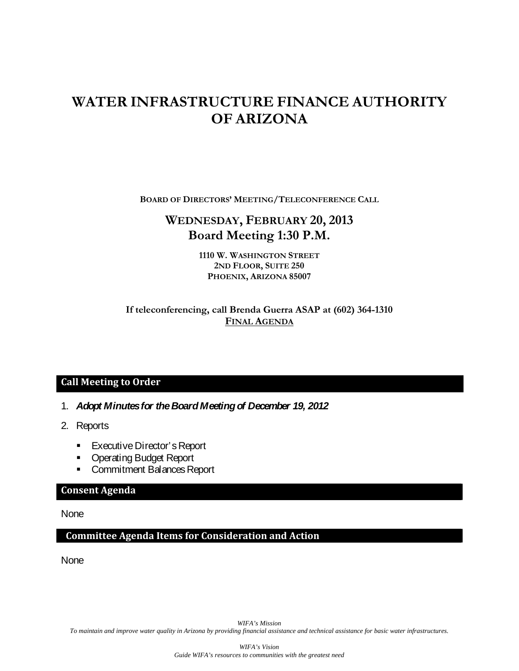# **WATER INFRASTRUCTURE FINANCE AUTHORITY OF ARIZONA**

**BOARD OF DIRECTORS' MEETING/TELECONFERENCE CALL**

# **WEDNESDAY, FEBRUARY 20, 2013 Board Meeting 1:30 P.M.**

**1110 W. WASHINGTON STREET 2ND FLOOR, SUITE 250 PHOENIX, ARIZONA 85007**

# **If teleconferencing, call Brenda Guerra ASAP at (602) 364-1310 FINAL AGENDA**

# **Call Meeting to Order**

- 1. *Adopt Minutes for the Board Meeting of December 19, 2012*
- 2. Reports
	- **Executive Director's Report**
	- **Operating Budget Report**
	- **Commitment Balances Report**

#### **Consent Agenda**

None

## **Committee Agenda Items for Consideration and Action**

None